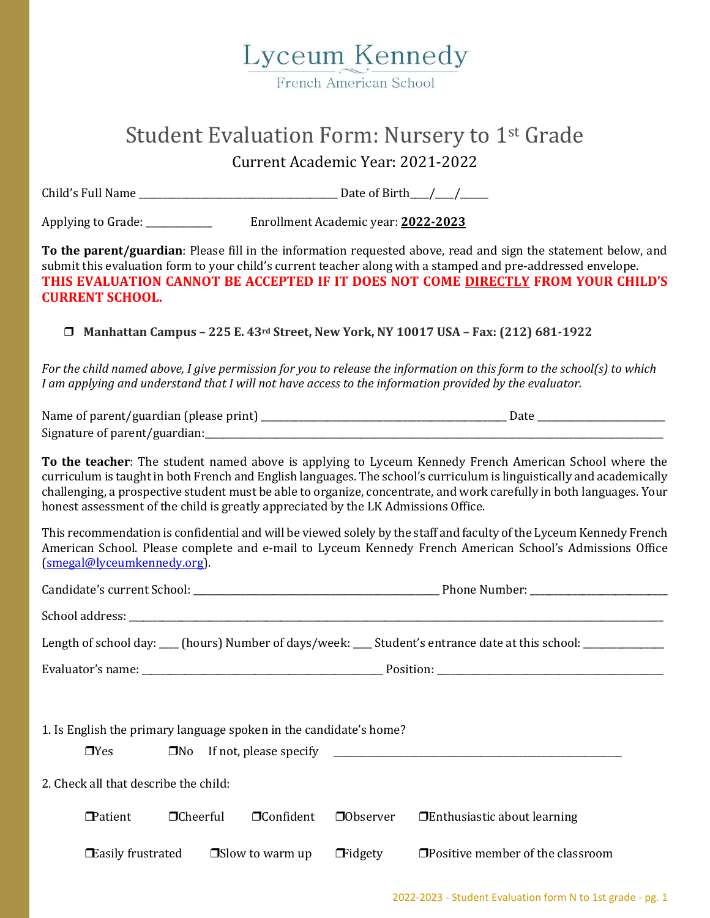

## Student Evaluation Form: Nursery to 1st Grade

Current Academic Year: 2021-2022

Child's Full Name \_\_\_\_\_\_\_\_\_\_\_\_\_\_\_\_\_\_\_\_\_\_\_\_\_\_\_\_\_\_\_\_\_\_\_\_\_\_\_\_\_\_ Date of Birth\_\_\_\_/\_\_\_\_/\_\_\_\_\_\_

Applying to Grade: \_\_\_\_\_\_\_\_\_\_\_\_\_\_ Enrollment Academic year: **2022-2023**

**To the parent/guardian**: Please fill in the information requested above, read and sign the statement below, and submit this evaluation form to your child's current teacher along with a stamped and pre-addressed envelope. **THIS EVALUATION CANNOT BE ACCEPTED IF IT DOES NOT COME DIRECTLY FROM YOUR CHILD'S CURRENT SCHOOL.**

❒ **Manhattan Campus – 225 E. 43rd Street, New York, NY 10017 USA – Fax: (212) 681-1922**

*For the child named above, I give permission for you to release the information on this form to the school(s) to which I am applying and understand that I will not have access to the information provided by the evaluator.*

| Name of parent/guardian (please print) |  |
|----------------------------------------|--|
| Signature of parent/guardian:          |  |

**To the teacher**: The student named above is applying to Lyceum Kennedy French American School where the curriculum is taught in both French and English languages. The school's curriculum is linguistically and academically challenging, a prospective student must be able to organize, concentrate, and work carefully in both languages. Your honest assessment of the child is greatly appreciated by the LK Admissions Office.

This recommendation is confidential and will be viewed solely by the staff and faculty of the Lyceum Kennedy French American School. Please complete and e-mail to Lyceum Kennedy French American School's Admissions Office [\(smegal@lyceumkennedy.org\)](file:///C:/Users/Steve%20L%20Megal/Downloads/smegal@lyceumkennedy.org).

|                                                                    |                 |                  |  | Length of school day: ___ (hours) Number of days/week: ___ Student's entrance date at this school: ___________   |  |  |
|--------------------------------------------------------------------|-----------------|------------------|--|------------------------------------------------------------------------------------------------------------------|--|--|
|                                                                    |                 |                  |  |                                                                                                                  |  |  |
|                                                                    |                 |                  |  |                                                                                                                  |  |  |
| 1. Is English the primary language spoken in the candidate's home? |                 |                  |  |                                                                                                                  |  |  |
| $\Box$ Yes                                                         |                 |                  |  |                                                                                                                  |  |  |
| 2. Check all that describe the child:                              |                 |                  |  |                                                                                                                  |  |  |
| <b>Patient</b>                                                     | $\Box$ Cheerful | $\Box$ Confident |  | $\Box$ Observer $\Box$ Enthusiastic about learning                                                               |  |  |
|                                                                    |                 |                  |  | <b>Example 1</b> Easily frustrated $\Box$ Slow to warm up $\Box$ Fidgety $\Box$ Positive member of the classroom |  |  |